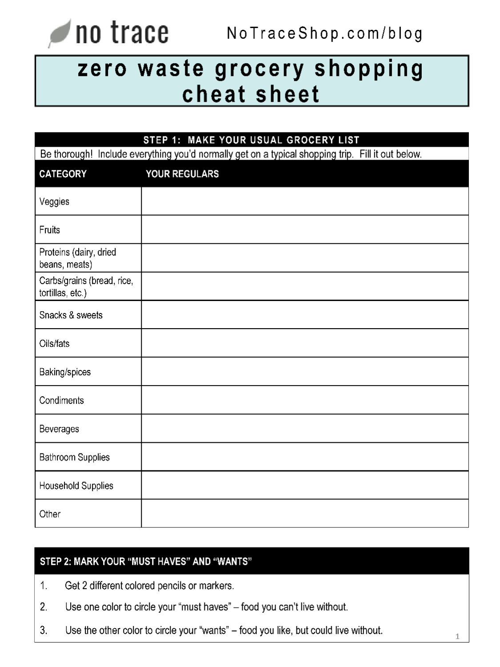#### no trace NoTraceShop.com/blog

# zero waste grocery shopping cheat sheet

| STEP 1: MAKE YOUR USUAL GROCERY LIST                                                              |               |
|---------------------------------------------------------------------------------------------------|---------------|
| Be thorough! Include everything you'd normally get on a typical shopping trip. Fill it out below. |               |
| <b>CATEGORY</b>                                                                                   | YOUR REGULARS |
| Veggies                                                                                           |               |
| Fruits                                                                                            |               |
| Proteins (dairy, dried<br>beans, meats)                                                           |               |
| Carbs/grains (bread, rice,<br>tortillas, etc.)                                                    |               |
| Snacks & sweets                                                                                   |               |
| Oils/fats                                                                                         |               |
| Baking/spices                                                                                     |               |
| Condiments                                                                                        |               |
| Beverages                                                                                         |               |
| Bathroom Supplies                                                                                 |               |
| Household Supplies                                                                                |               |
| Other                                                                                             |               |

# STEP 2: MARK YOUR "MUST HAVES" AND "WANTS"

- Get 2 different colored pencils or markers. 1.
- Use one color to circle your "must haves" food you can't live without.  $2.$
- 3. Use the other color to circle your "wants" - food you like, but could live without.